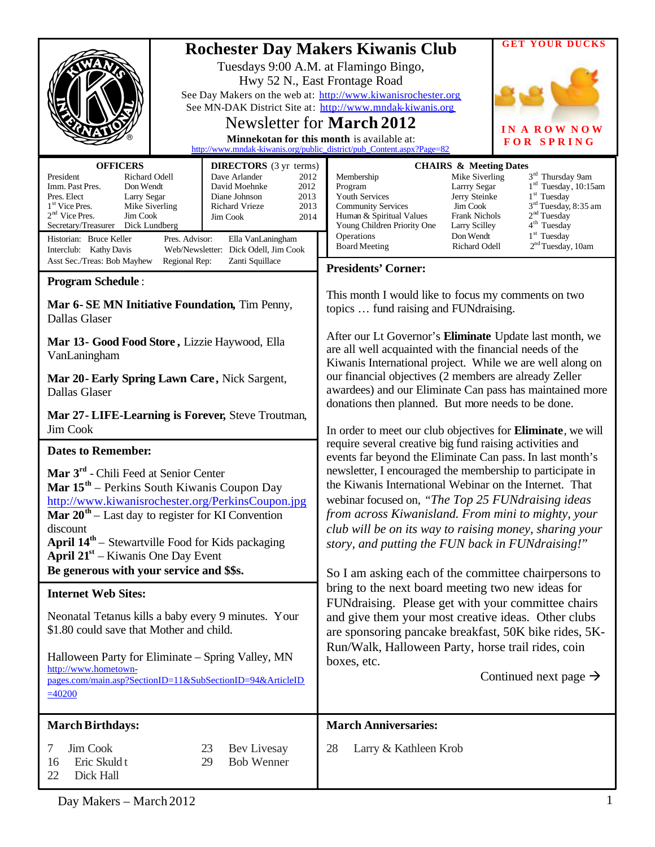| <b>Rochester Day Makers Kiwanis Club</b><br>Tuesdays 9:00 A.M. at Flamingo Bingo,<br>Hwy 52 N., East Frontage Road<br>See Day Makers on the web at: http://www.kiwanisrochester.org<br>See MN-DAK District Site at: http://www.mndak-kiwanis.org<br>Newsletter for March 2012<br>Minnekotan for this month is available at:<br>http://www.mndak-kiwanis.org/public_district/pub_Content.aspx?Page=82<br><b>OFFICERS</b><br><b>DIRECTORS</b> (3 yr terms)<br><b>CHAIRS &amp; Meeting Dates</b><br>President<br>Richard Odell<br>Dave Arlander<br>2012<br>Membership |                                                                                                                                                                              |                                                                                                                                                                                                                                                                                                                                                                                                                                                                                                                                                                                                                                                                                                                                                                                                         | <b>GET YOUR DUCKS</b><br>IN A ROW NOW<br><b>FOR SPRING</b><br>3 <sup>rd</sup> Thursday 9am<br>Mike Siverling                                                                                                                                                                                            |
|--------------------------------------------------------------------------------------------------------------------------------------------------------------------------------------------------------------------------------------------------------------------------------------------------------------------------------------------------------------------------------------------------------------------------------------------------------------------------------------------------------------------------------------------------------------------|------------------------------------------------------------------------------------------------------------------------------------------------------------------------------|---------------------------------------------------------------------------------------------------------------------------------------------------------------------------------------------------------------------------------------------------------------------------------------------------------------------------------------------------------------------------------------------------------------------------------------------------------------------------------------------------------------------------------------------------------------------------------------------------------------------------------------------------------------------------------------------------------------------------------------------------------------------------------------------------------|---------------------------------------------------------------------------------------------------------------------------------------------------------------------------------------------------------------------------------------------------------------------------------------------------------|
| Imm. Past Pres.<br>Don Wendt<br>Pres. Elect<br>Larry Segar<br>1 <sup>st</sup> Vice Pres.<br>Mike Siverling<br>$2nd$ Vice Pres.<br>Jim Cook<br>Secretary/Treasurer<br>Dick Lundberg<br>Historian: Bruce Keller<br>Pres. Advisor:<br>Interclub: Kathy Davis<br>Asst Sec./Treas: Bob Mayhew<br>Regional Rep:                                                                                                                                                                                                                                                          | 2012<br>David Moehnke<br>Diane Johnson<br>2013<br>Richard Vrieze<br>2013<br>2014<br>Jim Cook<br>Ella VanLaningham<br>Web/Newsletter: Dick Odell, Jim Cook<br>Zanti Squillace | Program<br><b>Youth Services</b><br><b>Community Services</b><br>Human & Spiritual Values<br>Young Children Priority One<br>Operations<br><b>Board Meeting</b>                                                                                                                                                                                                                                                                                                                                                                                                                                                                                                                                                                                                                                          | $1rd$ Tuesday, 10:15am<br>Larrry Segar<br>$1st$ Tuesday<br>Jerry Steinke<br>3 <sup>rd</sup> Tuesday, 8:35 am<br>Jim Cook<br>2 <sup>nd</sup> Tuesday<br><b>Frank Nichols</b><br>4 <sup>th</sup> Tuesday<br>Larry Scilley<br>$1st$ Tuesday<br>Don Wendt<br>2 <sup>nd</sup> Tuesday, 10am<br>Richard Odell |
| <b>Program Schedule:</b>                                                                                                                                                                                                                                                                                                                                                                                                                                                                                                                                           |                                                                                                                                                                              | <b>Presidents' Corner:</b>                                                                                                                                                                                                                                                                                                                                                                                                                                                                                                                                                                                                                                                                                                                                                                              |                                                                                                                                                                                                                                                                                                         |
| Mar 6- SE MN Initiative Foundation, Tim Penny,<br><b>Dallas Glaser</b>                                                                                                                                                                                                                                                                                                                                                                                                                                                                                             |                                                                                                                                                                              | This month I would like to focus my comments on two<br>topics  fund raising and FUNdraising.                                                                                                                                                                                                                                                                                                                                                                                                                                                                                                                                                                                                                                                                                                            |                                                                                                                                                                                                                                                                                                         |
| Mar 13- Good Food Store, Lizzie Haywood, Ella<br>VanLaningham                                                                                                                                                                                                                                                                                                                                                                                                                                                                                                      |                                                                                                                                                                              | After our Lt Governor's Eliminate Update last month, we<br>are all well acquainted with the financial needs of the<br>Kiwanis International project. While we are well along on<br>our financial objectives (2 members are already Zeller<br>awardees) and our Eliminate Can pass has maintained more<br>donations then planned. But more needs to be done.                                                                                                                                                                                                                                                                                                                                                                                                                                             |                                                                                                                                                                                                                                                                                                         |
| Mar 20 - Early Spring Lawn Care, Nick Sargent,<br>Dallas Glaser                                                                                                                                                                                                                                                                                                                                                                                                                                                                                                    |                                                                                                                                                                              |                                                                                                                                                                                                                                                                                                                                                                                                                                                                                                                                                                                                                                                                                                                                                                                                         |                                                                                                                                                                                                                                                                                                         |
| Mar 27 - LIFE-Learning is Forever, Steve Troutman,<br>Jim Cook                                                                                                                                                                                                                                                                                                                                                                                                                                                                                                     |                                                                                                                                                                              |                                                                                                                                                                                                                                                                                                                                                                                                                                                                                                                                                                                                                                                                                                                                                                                                         | In order to meet our club objectives for <b>Eliminate</b> , we will                                                                                                                                                                                                                                     |
| <b>Dates to Remember:</b>                                                                                                                                                                                                                                                                                                                                                                                                                                                                                                                                          |                                                                                                                                                                              | require several creative big fund raising activities and                                                                                                                                                                                                                                                                                                                                                                                                                                                                                                                                                                                                                                                                                                                                                |                                                                                                                                                                                                                                                                                                         |
| Mar 3 <sup>rd</sup> - Chili Feed at Senior Center<br><b>Mar <math>15th</math></b> – Perkins South Kiwanis Coupon Day<br>http://www.kiwanisrochester.org/PerkinsCoupon.jpg<br><b>Mar 20<sup>th</sup></b> – Last day to register for KI Convention<br>discount<br><b>April 14<sup>th</sup></b> – Stewartville Food for Kids packaging<br><b>April 21</b> <sup>st</sup> – Kiwanis One Day Event<br>Be generous with your service and \$\$s.                                                                                                                           |                                                                                                                                                                              | events far beyond the Eliminate Can pass. In last month's<br>newsletter, I encouraged the membership to participate in<br>the Kiwanis International Webinar on the Internet. That<br>webinar focused on, "The Top 25 FUNdraising ideas<br>from across Kiwanisland. From mini to mighty, your<br>club will be on its way to raising money, sharing your<br>story, and putting the FUN back in FUNdraising!"<br>So I am asking each of the committee chairpersons to<br>bring to the next board meeting two new ideas for<br>FUNdraising. Please get with your committee chairs<br>and give them your most creative ideas. Other clubs<br>are sponsoring pancake breakfast, 50K bike rides, 5K-<br>Run/Walk, Halloween Party, horse trail rides, coin<br>boxes, etc.<br>Continued next page $\rightarrow$ |                                                                                                                                                                                                                                                                                                         |
| <b>Internet Web Sites:</b>                                                                                                                                                                                                                                                                                                                                                                                                                                                                                                                                         |                                                                                                                                                                              |                                                                                                                                                                                                                                                                                                                                                                                                                                                                                                                                                                                                                                                                                                                                                                                                         |                                                                                                                                                                                                                                                                                                         |
| Neonatal Tetanus kills a baby every 9 minutes. Your<br>\$1.80 could save that Mother and child.                                                                                                                                                                                                                                                                                                                                                                                                                                                                    |                                                                                                                                                                              |                                                                                                                                                                                                                                                                                                                                                                                                                                                                                                                                                                                                                                                                                                                                                                                                         |                                                                                                                                                                                                                                                                                                         |
| Halloween Party for Eliminate – Spring Valley, MN<br>http://www.hometown-<br>pages.com/main.asp?SectionID=11&SubSectionID=94&ArticleID<br>$=40200$                                                                                                                                                                                                                                                                                                                                                                                                                 |                                                                                                                                                                              |                                                                                                                                                                                                                                                                                                                                                                                                                                                                                                                                                                                                                                                                                                                                                                                                         |                                                                                                                                                                                                                                                                                                         |
| <b>March Birthdays:</b>                                                                                                                                                                                                                                                                                                                                                                                                                                                                                                                                            |                                                                                                                                                                              | <b>March Anniversaries:</b>                                                                                                                                                                                                                                                                                                                                                                                                                                                                                                                                                                                                                                                                                                                                                                             |                                                                                                                                                                                                                                                                                                         |
| Jim Cook<br>7<br>Eric Skuld t<br>16<br>22<br>Dick Hall                                                                                                                                                                                                                                                                                                                                                                                                                                                                                                             | 23<br>Bev Livesay<br><b>Bob Wenner</b><br>29                                                                                                                                 | 28<br>Larry & Kathleen Krob                                                                                                                                                                                                                                                                                                                                                                                                                                                                                                                                                                                                                                                                                                                                                                             |                                                                                                                                                                                                                                                                                                         |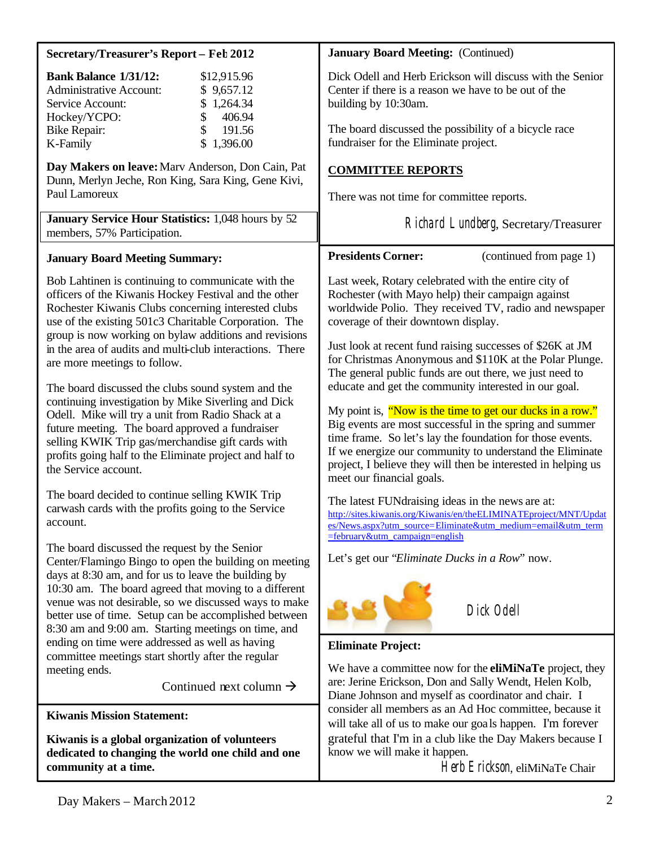| Secretary/Treasurer's Report - Feb 2012                                                                                                                                                                                                                                                                                                                                                                                                                                                                                                                                                                                                                    | <b>January Board Meeting: (Continued)</b>                                                                                                                                                                                                                                                                                                                                                                                                                                                                                                                                                                                                   |  |
|------------------------------------------------------------------------------------------------------------------------------------------------------------------------------------------------------------------------------------------------------------------------------------------------------------------------------------------------------------------------------------------------------------------------------------------------------------------------------------------------------------------------------------------------------------------------------------------------------------------------------------------------------------|---------------------------------------------------------------------------------------------------------------------------------------------------------------------------------------------------------------------------------------------------------------------------------------------------------------------------------------------------------------------------------------------------------------------------------------------------------------------------------------------------------------------------------------------------------------------------------------------------------------------------------------------|--|
| <b>Bank Balance 1/31/12:</b><br>\$12,915.96<br><b>Administrative Account:</b><br>\$9,657.12<br>\$1,264.34<br>Service Account:<br>406.94<br>Hockey/YCPO:<br>\$<br>191.56<br><b>Bike Repair:</b><br>\$1,396.00<br>K-Family                                                                                                                                                                                                                                                                                                                                                                                                                                   | Dick Odell and Herb Erickson will discuss with the Senior<br>Center if there is a reason we have to be out of the<br>building by 10:30am.<br>The board discussed the possibility of a bicycle race<br>fundraiser for the Eliminate project.                                                                                                                                                                                                                                                                                                                                                                                                 |  |
| Day Makers on leave: Marv Anderson, Don Cain, Pat<br>Dunn, Merlyn Jeche, Ron King, Sara King, Gene Kivi,<br>Paul Lamoreux<br>January Service Hour Statistics: 1,048 hours by 52                                                                                                                                                                                                                                                                                                                                                                                                                                                                            | <b>COMMITTEE REPORTS</b><br>There was not time for committee reports.<br>Richard Lundberg, Secretary/Treasurer                                                                                                                                                                                                                                                                                                                                                                                                                                                                                                                              |  |
| members, 57% Participation.                                                                                                                                                                                                                                                                                                                                                                                                                                                                                                                                                                                                                                |                                                                                                                                                                                                                                                                                                                                                                                                                                                                                                                                                                                                                                             |  |
| <b>January Board Meeting Summary:</b>                                                                                                                                                                                                                                                                                                                                                                                                                                                                                                                                                                                                                      | <b>Presidents Corner:</b><br>(continued from page 1)                                                                                                                                                                                                                                                                                                                                                                                                                                                                                                                                                                                        |  |
| Bob Lahtinen is continuing to communicate with the<br>officers of the Kiwanis Hockey Festival and the other<br>Rochester Kiwanis Clubs concerning interested clubs<br>use of the existing 501c3 Charitable Corporation. The<br>group is now working on bylaw additions and revisions<br>in the area of audits and multi-club interactions. There<br>are more meetings to follow.<br>The board discussed the clubs sound system and the<br>continuing investigation by Mike Siverling and Dick<br>Odell. Mike will try a unit from Radio Shack at a<br>future meeting. The board approved a fundraiser<br>selling KWIK Trip gas/merchandise gift cards with | Last week, Rotary celebrated with the entire city of<br>Rochester (with Mayo help) their campaign against<br>worldwide Polio. They received TV, radio and newspaper<br>coverage of their downtown display.<br>Just look at recent fund raising successes of \$26K at JM<br>for Christmas Anonymous and \$110K at the Polar Plunge.<br>The general public funds are out there, we just need to<br>educate and get the community interested in our goal.<br>My point is, "Now is the time to get our ducks in a row."<br>Big events are most successful in the spring and summer<br>time frame. So let's lay the foundation for those events. |  |
| profits going half to the Eliminate project and half to<br>the Service account.                                                                                                                                                                                                                                                                                                                                                                                                                                                                                                                                                                            | If we energize our community to understand the Eliminate<br>project, I believe they will then be interested in helping us<br>meet our financial goals.                                                                                                                                                                                                                                                                                                                                                                                                                                                                                      |  |
| The board decided to continue selling KWIK Trip<br>carwash cards with the profits going to the Service<br>account.                                                                                                                                                                                                                                                                                                                                                                                                                                                                                                                                         | The latest FUNdraising ideas in the news are at:<br>http://sites.kiwanis.org/Kiwanis/en/theELIMINATEproject/MNT/Updat<br>es/News.aspx?utm_source=Eliminate&utm_medium=email&utm_term<br>=february&utm_campaign=english                                                                                                                                                                                                                                                                                                                                                                                                                      |  |
| The board discussed the request by the Senior<br>Center/Flamingo Bingo to open the building on meeting<br>days at 8:30 am, and for us to leave the building by<br>10:30 am. The board agreed that moving to a different<br>venue was not desirable, so we discussed ways to make<br>better use of time. Setup can be accomplished between<br>8:30 am and 9:00 am. Starting meetings on time, and                                                                                                                                                                                                                                                           | Let's get our "Eliminate Ducks in a Row" now.<br>Dick Odell                                                                                                                                                                                                                                                                                                                                                                                                                                                                                                                                                                                 |  |
| ending on time were addressed as well as having<br>committee meetings start shortly after the regular                                                                                                                                                                                                                                                                                                                                                                                                                                                                                                                                                      | <b>Eliminate Project:</b>                                                                                                                                                                                                                                                                                                                                                                                                                                                                                                                                                                                                                   |  |
| meeting ends.                                                                                                                                                                                                                                                                                                                                                                                                                                                                                                                                                                                                                                              | We have a committee now for the <b>eliMiNaTe</b> project, they                                                                                                                                                                                                                                                                                                                                                                                                                                                                                                                                                                              |  |
| Continued next column $\rightarrow$                                                                                                                                                                                                                                                                                                                                                                                                                                                                                                                                                                                                                        | are: Jerine Erickson, Don and Sally Wendt, Helen Kolb,<br>Diane Johnson and myself as coordinator and chair. I                                                                                                                                                                                                                                                                                                                                                                                                                                                                                                                              |  |
| <b>Kiwanis Mission Statement:</b>                                                                                                                                                                                                                                                                                                                                                                                                                                                                                                                                                                                                                          | consider all members as an Ad Hoc committee, because it<br>will take all of us to make our goals happen. I'm forever                                                                                                                                                                                                                                                                                                                                                                                                                                                                                                                        |  |
| Kiwanis is a global organization of volunteers<br>dedicated to changing the world one child and one<br>community at a time.                                                                                                                                                                                                                                                                                                                                                                                                                                                                                                                                | grateful that I'm in a club like the Day Makers because I<br>know we will make it happen.<br>Herb Erickson, eliMiNaTe Chair                                                                                                                                                                                                                                                                                                                                                                                                                                                                                                                 |  |

Herb Erickson, eliMiNaTe Chair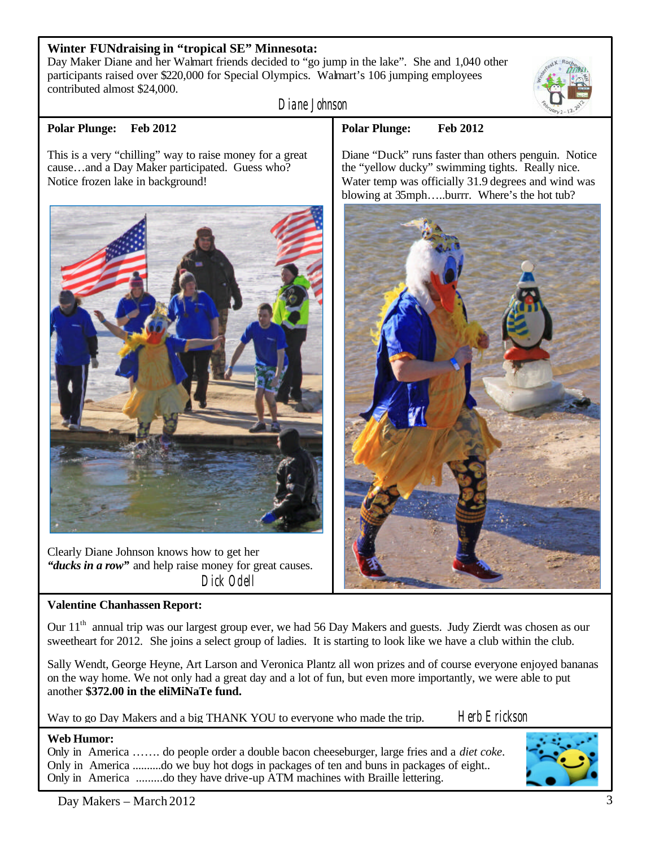## **Winter FUNdraising in "tropical SE" Minnesota:**

Day Maker Diane and her Walmart friends decided to "go jump in the lake". She and 1,040 other participants raised over \$220,000 for Special Olympics. Walmart's 106 jumping employees contributed almost \$24,000.

Diane Johnson

#### **Polar Plunge: Feb 2012**

This is a very "chilling" way to raise money for a great cause…and a Day Maker participated. Guess who? Notice frozen lake in background!



Clearly Diane Johnson knows how to get her *"ducks in a row"* and help raise money for great causes. Dick Odell

# **Valentine Chanhassen Report:**

Our  $11<sup>th</sup>$  annual trip was our largest group ever, we had 56 Day Makers and guests. Judy Zierdt was chosen as our sweetheart for 2012. She joins a select group of ladies. It is starting to look like we have a club within the club.

Sally Wendt, George Heyne, Art Larson and Veronica Plantz all won prizes and of course everyone enjoyed bananas on the way home. We not only had a great day and a lot of fun, but even more importantly, we were able to put another **\$372.00 in the eliMiNaTe fund.** 

Way to go Day Makers and a big THANK YOU to everyone who made the trip. Herb Erickson

#### **Web Humor:** Only in America ……. do people order a double bacon cheeseburger, large fries and a *diet coke*. Only in America ..........do we buy hot dogs in packages of ten and buns in packages of eight.. Only in America .........do they have drive-up ATM machines with Braille lettering.



# **Polar Plunge: Feb 2012**

Diane "Duck" runs faster than others penguin. Notice the "yellow ducky" swimming tights. Really nice. Water temp was officially 31.9 degrees and wind was blowing at 35mph…..burrr. Where's the hot tub?

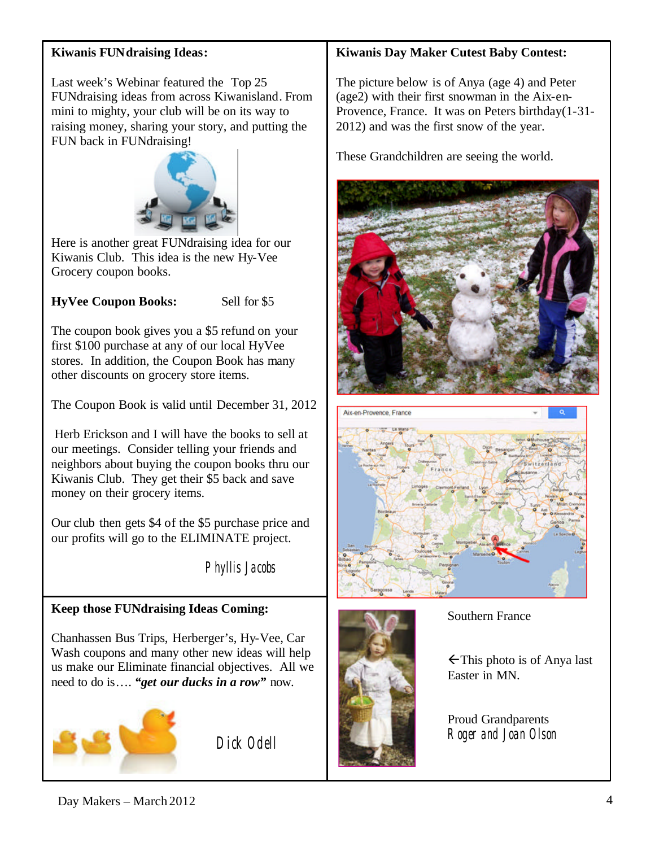# **Kiwanis FUNdraising Ideas:**

Last week's Webinar featured the Top 25 FUNdraising ideas from across Kiwanisland. From mini to mighty, your club will be on its way to raising money, sharing your story, and putting the FUN back in FUNdraising!



Here is another great FUNdraising idea for our Kiwanis Club. This idea is the new Hy-Vee Grocery coupon books.

# **HyVee Coupon Books:** Sell for \$5

The coupon book gives you a \$5 refund on your first \$100 purchase at any of our local HyVee stores. In addition, the Coupon Book has many other discounts on grocery store items.

The Coupon Book is valid until December 31, 2012

Herb Erickson and I will have the books to sell at our meetings. Consider telling your friends and neighbors about buying the coupon books thru our Kiwanis Club. They get their \$5 back and save money on their grocery items.

Our club then gets \$4 of the \$5 purchase price and our profits will go to the ELIMINATE project.

Phyllis Jacobs

# **Keep those FUNdraising Ideas Coming:**

Chanhassen Bus Trips, Herberger's, Hy-Vee, Car Wash coupons and many other new ideas will help us make our Eliminate financial objectives. All we need to do is…. *"get our ducks in a row"* now.



Dick Odell

# **Kiwanis Day Maker Cutest Baby Contest:**

The picture below is of Anya (age 4) and Peter (age2) with their first snowman in the Aix-en-Provence, France. It was on Peters birthday(1-31- 2012) and was the first snow of the year.

These Grandchildren are seeing the world.







### Southern France

 $\leftarrow$ This photo is of Anya last Easter in MN.

Proud Grandparents Roger and Joan Olson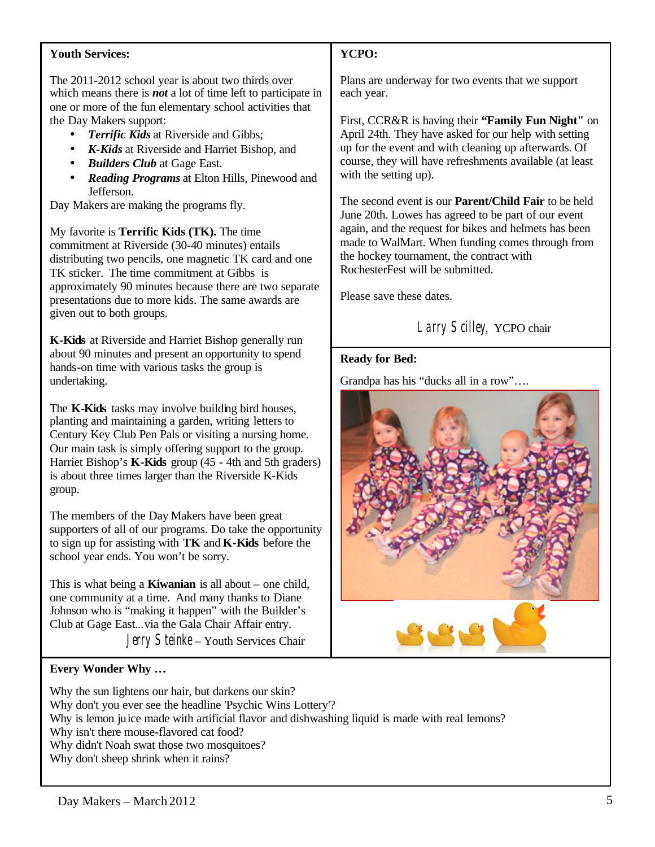#### **Youth Services:**

The 2011-2012 school year is about two thirds over which means there is *not* a lot of time left to participate in one or more of the fun elementary school activities that the Day Makers support:

- *Terrific Kids* at Riverside and Gibbs;
- *K-Kids* at Riverside and Harriet Bishop, and
- *Builders Club* at Gage East.
- *Reading Programs* at Elton Hills, Pinewood and Jefferson.

Day Makers are making the programs fly.

My favorite is **Terrific Kids (TK).** The time commitment at Riverside (30-40 minutes) entails distributing two pencils, one magnetic TK card and one TK sticker. The time commitment at Gibbs is approximately 90 minutes because there are two separate presentations due to more kids. The same awards are given out to both groups.

**K-Kids** at Riverside and Harriet Bishop generally run about 90 minutes and present an opportunity to spend hands-on time with various tasks the group is undertaking.

The **K-Kids** tasks may involve building bird houses, planting and maintaining a garden, writing letters to Century Key Club Pen Pals or visiting a nursing home. Our main task is simply offering support to the group. Harriet Bishop's **K-Kids** group (45 - 4th and 5th graders) is about three times larger than the Riverside K-Kids group.

The members of the Day Makers have been great supporters of all of our programs. Do take the opportunity to sign up for assisting with **TK** and **K-Kids** before the school year ends. You won't be sorry.

This is what being a **Kiwanian** is all about – one child, one community at a time. And many thanks to Diane Johnson who is "making it happen" with the Builder's Club at Gage East...via the Gala Chair Affair entry.

Jerry Steinke – Youth Services Chair

### **YCPO:**

Plans are underway for two events that we support each year.

First, CCR&R is having their **"Family Fun Night"** on April 24th. They have asked for our help with setting up for the event and with cleaning up afterwards. Of course, they will have refreshments available (at least with the setting up).

The second event is our **Parent/Child Fair** to be held June 20th. Lowes has agreed to be part of our event again, and the request for bikes and helmets has been made to WalMart. When funding comes through from the hockey tournament, the contract with RochesterFest will be submitted.

Please save these dates.

# Larry Scilley, YCPO chair

#### **Ready for Bed:**

Grandpa has his "ducks all in a row"….



#### **Every Wonder Why …**

Why the sun lightens our hair, but darkens our skin? Why don't you ever see the headline 'Psychic Wins Lottery'? Why is lemon juice made with artificial flavor and dishwashing liquid is made with real lemons? Why isn't there mouse-flavored cat food? Why didn't Noah swat those two mosquitoes? Why don't sheep shrink when it rains?